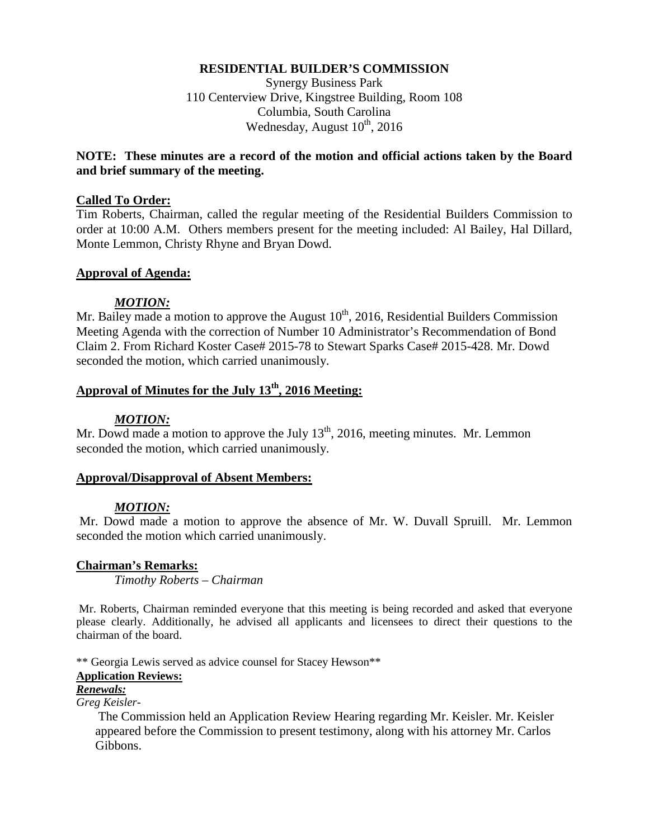#### **RESIDENTIAL BUILDER'S COMMISSION**

Synergy Business Park 110 Centerview Drive, Kingstree Building, Room 108 Columbia, South Carolina Wednesday, August  $10^{th}$ , 2016

### **NOTE: These minutes are a record of the motion and official actions taken by the Board and brief summary of the meeting.**

#### **Called To Order:**

Tim Roberts, Chairman, called the regular meeting of the Residential Builders Commission to order at 10:00 A.M. Others members present for the meeting included: Al Bailey, Hal Dillard, Monte Lemmon, Christy Rhyne and Bryan Dowd.

#### **Approval of Agenda:**

#### *MOTION:*

Mr. Bailey made a motion to approve the August  $10^{th}$ , 2016, Residential Builders Commission Meeting Agenda with the correction of Number 10 Administrator's Recommendation of Bond Claim 2. From Richard Koster Case# 2015-78 to Stewart Sparks Case# 2015-428. Mr. Dowd seconded the motion, which carried unanimously.

# Approval of Minutes for the July 13<sup>th</sup>, 2016 Meeting:

#### *MOTION:*

Mr. Dowd made a motion to approve the July  $13<sup>th</sup>$ , 2016, meeting minutes. Mr. Lemmon seconded the motion, which carried unanimously.

#### **Approval/Disapproval of Absent Members:**

### *MOTION:*

Mr. Dowd made a motion to approve the absence of Mr. W. Duvall Spruill. Mr. Lemmon seconded the motion which carried unanimously.

#### **Chairman's Remarks:**

*Timothy Roberts – Chairman*

Mr. Roberts, Chairman reminded everyone that this meeting is being recorded and asked that everyone please clearly. Additionally, he advised all applicants and licensees to direct their questions to the chairman of the board.

\*\* Georgia Lewis served as advice counsel for Stacey Hewson\*\*

## **Application Reviews:**

## *Renewals:*

*Greg Keisler-*

The Commission held an Application Review Hearing regarding Mr. Keisler. Mr. Keisler appeared before the Commission to present testimony, along with his attorney Mr. Carlos Gibbons.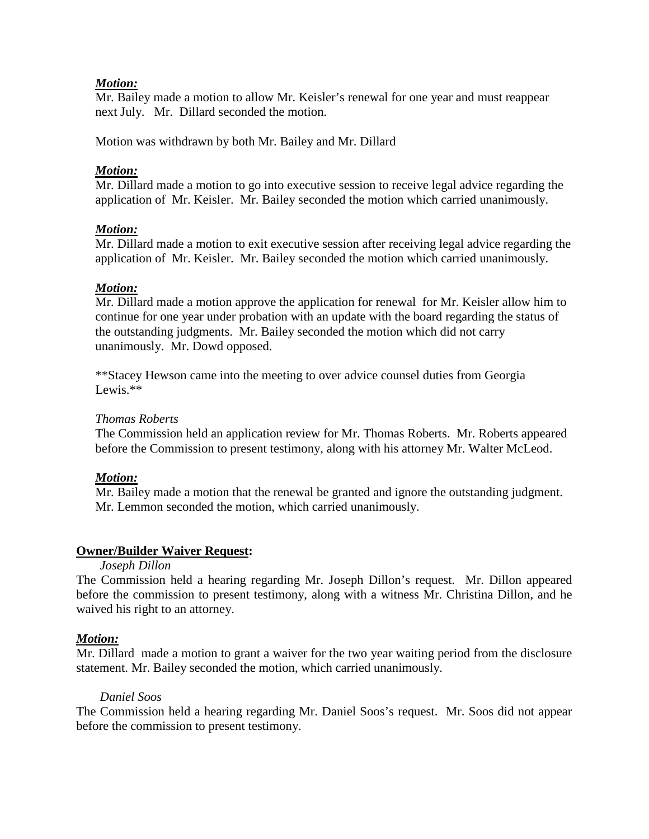Mr. Bailey made a motion to allow Mr. Keisler's renewal for one year and must reappear next July. Mr. Dillard seconded the motion.

Motion was withdrawn by both Mr. Bailey and Mr. Dillard

## *Motion:*

Mr. Dillard made a motion to go into executive session to receive legal advice regarding the application of Mr. Keisler. Mr. Bailey seconded the motion which carried unanimously.

## *Motion:*

Mr. Dillard made a motion to exit executive session after receiving legal advice regarding the application of Mr. Keisler. Mr. Bailey seconded the motion which carried unanimously.

## *Motion:*

Mr. Dillard made a motion approve the application for renewal for Mr. Keisler allow him to continue for one year under probation with an update with the board regarding the status of the outstanding judgments. Mr. Bailey seconded the motion which did not carry unanimously. Mr. Dowd opposed.

\*\*Stacey Hewson came into the meeting to over advice counsel duties from Georgia Lewis. $**$ 

### *Thomas Roberts*

The Commission held an application review for Mr. Thomas Roberts. Mr. Roberts appeared before the Commission to present testimony, along with his attorney Mr. Walter McLeod.

### *Motion:*

Mr. Bailey made a motion that the renewal be granted and ignore the outstanding judgment. Mr. Lemmon seconded the motion, which carried unanimously.

### **Owner/Builder Waiver Request:**

*Joseph Dillon* 

The Commission held a hearing regarding Mr. Joseph Dillon's request. Mr. Dillon appeared before the commission to present testimony, along with a witness Mr. Christina Dillon, and he waived his right to an attorney.

# *Motion:*

Mr. Dillard made a motion to grant a waiver for the two year waiting period from the disclosure statement. Mr. Bailey seconded the motion, which carried unanimously.

### *Daniel Soos*

The Commission held a hearing regarding Mr. Daniel Soos's request. Mr. Soos did not appear before the commission to present testimony.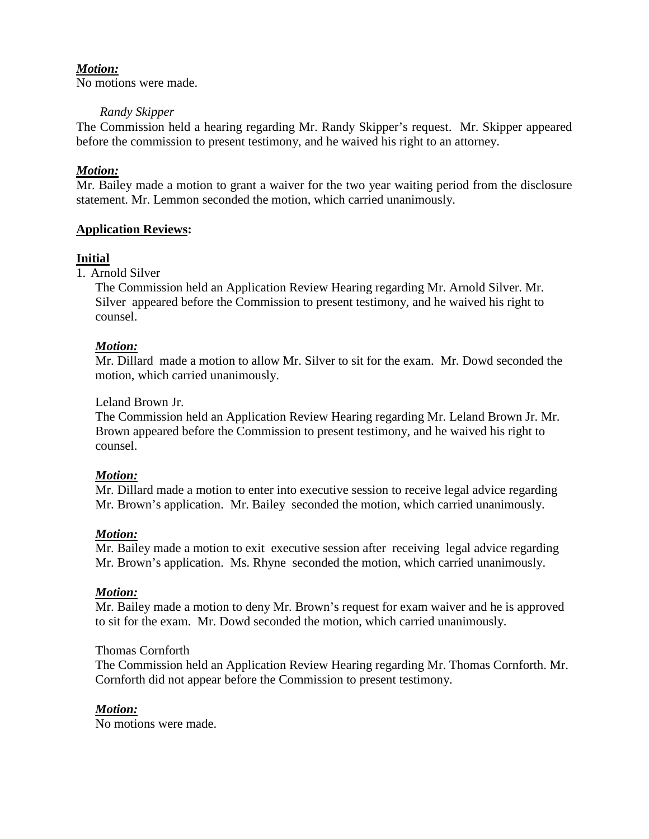No motions were made.

### *Randy Skipper*

The Commission held a hearing regarding Mr. Randy Skipper's request. Mr. Skipper appeared before the commission to present testimony, and he waived his right to an attorney.

# *Motion:*

Mr. Bailey made a motion to grant a waiver for the two year waiting period from the disclosure statement. Mr. Lemmon seconded the motion, which carried unanimously.

## **Application Reviews:**

# **Initial**

1. Arnold Silver

The Commission held an Application Review Hearing regarding Mr. Arnold Silver. Mr. Silver appeared before the Commission to present testimony, and he waived his right to counsel.

### *Motion:*

Mr. Dillard made a motion to allow Mr. Silver to sit for the exam. Mr. Dowd seconded the motion, which carried unanimously.

### Leland Brown Jr.

The Commission held an Application Review Hearing regarding Mr. Leland Brown Jr. Mr. Brown appeared before the Commission to present testimony, and he waived his right to counsel.

### *Motion:*

Mr. Dillard made a motion to enter into executive session to receive legal advice regarding Mr. Brown's application. Mr. Bailey seconded the motion, which carried unanimously.

### *Motion:*

Mr. Bailey made a motion to exit executive session after receiving legal advice regarding Mr. Brown's application. Ms. Rhyne seconded the motion, which carried unanimously.

### *Motion:*

Mr. Bailey made a motion to deny Mr. Brown's request for exam waiver and he is approved to sit for the exam. Mr. Dowd seconded the motion, which carried unanimously.

### Thomas Cornforth

The Commission held an Application Review Hearing regarding Mr. Thomas Cornforth. Mr. Cornforth did not appear before the Commission to present testimony.

### *Motion:*

No motions were made.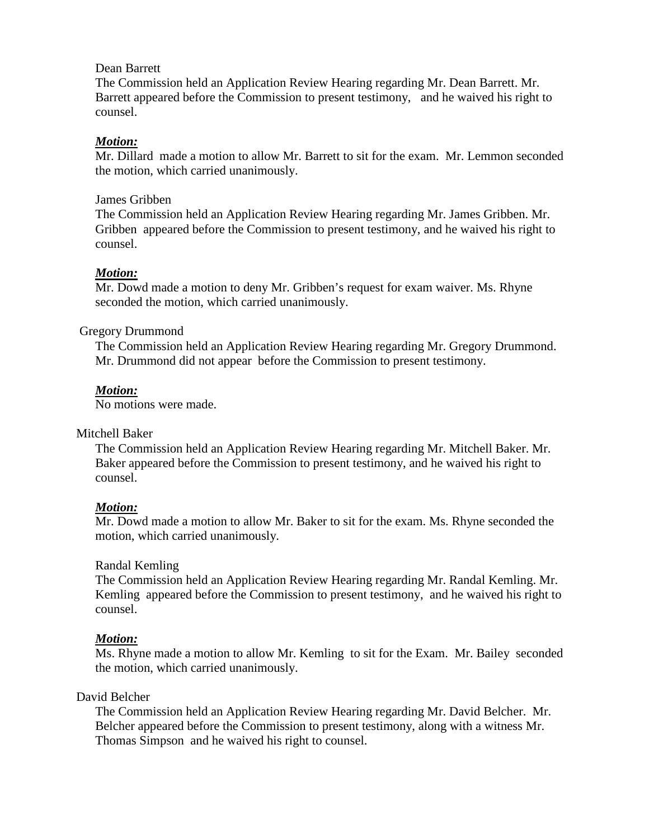### Dean Barrett

The Commission held an Application Review Hearing regarding Mr. Dean Barrett. Mr. Barrett appeared before the Commission to present testimony, and he waived his right to counsel.

## *Motion:*

Mr. Dillard made a motion to allow Mr. Barrett to sit for the exam. Mr. Lemmon seconded the motion, which carried unanimously.

#### James Gribben

The Commission held an Application Review Hearing regarding Mr. James Gribben. Mr. Gribben appeared before the Commission to present testimony, and he waived his right to counsel.

### *Motion:*

Mr. Dowd made a motion to deny Mr. Gribben's request for exam waiver. Ms. Rhyne seconded the motion, which carried unanimously.

### Gregory Drummond

The Commission held an Application Review Hearing regarding Mr. Gregory Drummond. Mr. Drummond did not appear before the Commission to present testimony.

### *Motion:*

No motions were made.

### Mitchell Baker

The Commission held an Application Review Hearing regarding Mr. Mitchell Baker. Mr. Baker appeared before the Commission to present testimony, and he waived his right to counsel.

### *Motion:*

Mr. Dowd made a motion to allow Mr. Baker to sit for the exam. Ms. Rhyne seconded the motion, which carried unanimously.

### Randal Kemling

The Commission held an Application Review Hearing regarding Mr. Randal Kemling. Mr. Kemling appeared before the Commission to present testimony, and he waived his right to counsel.

### *Motion:*

Ms. Rhyne made a motion to allow Mr. Kemling to sit for the Exam. Mr. Bailey seconded the motion, which carried unanimously.

### David Belcher

The Commission held an Application Review Hearing regarding Mr. David Belcher. Mr. Belcher appeared before the Commission to present testimony, along with a witness Mr. Thomas Simpson and he waived his right to counsel.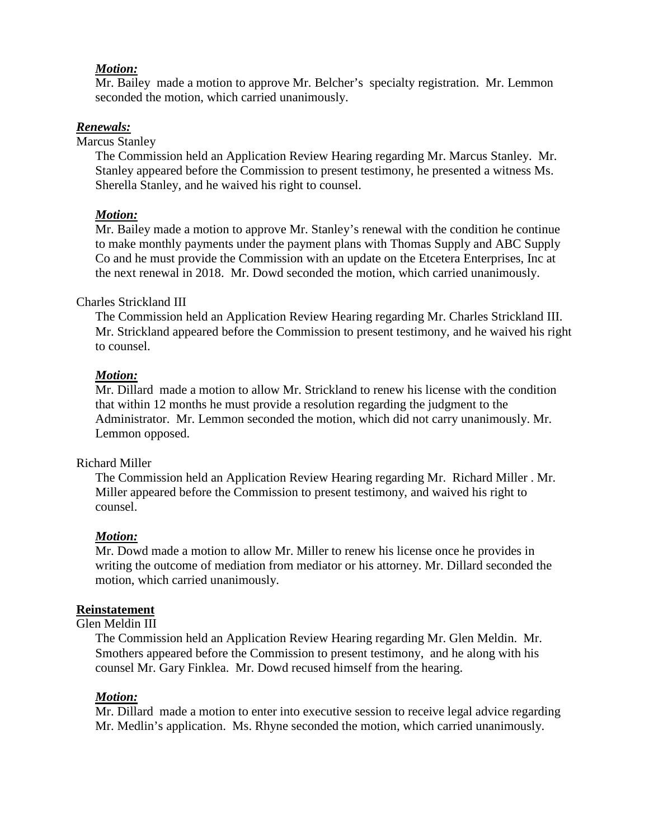Mr. Bailey made a motion to approve Mr. Belcher's specialty registration. Mr. Lemmon seconded the motion, which carried unanimously.

### *Renewals:*

Marcus Stanley

The Commission held an Application Review Hearing regarding Mr. Marcus Stanley. Mr. Stanley appeared before the Commission to present testimony, he presented a witness Ms. Sherella Stanley, and he waived his right to counsel.

#### *Motion:*

Mr. Bailey made a motion to approve Mr. Stanley's renewal with the condition he continue to make monthly payments under the payment plans with Thomas Supply and ABC Supply Co and he must provide the Commission with an update on the Etcetera Enterprises, Inc at the next renewal in 2018. Mr. Dowd seconded the motion, which carried unanimously.

#### Charles Strickland III

The Commission held an Application Review Hearing regarding Mr. Charles Strickland III. Mr. Strickland appeared before the Commission to present testimony, and he waived his right to counsel.

#### *Motion:*

Mr. Dillard made a motion to allow Mr. Strickland to renew his license with the condition that within 12 months he must provide a resolution regarding the judgment to the Administrator. Mr. Lemmon seconded the motion, which did not carry unanimously. Mr. Lemmon opposed.

#### Richard Miller

The Commission held an Application Review Hearing regarding Mr. Richard Miller . Mr. Miller appeared before the Commission to present testimony, and waived his right to counsel.

#### *Motion:*

Mr. Dowd made a motion to allow Mr. Miller to renew his license once he provides in writing the outcome of mediation from mediator or his attorney. Mr. Dillard seconded the motion, which carried unanimously.

#### **Reinstatement**

#### Glen Meldin III

The Commission held an Application Review Hearing regarding Mr. Glen Meldin. Mr. Smothers appeared before the Commission to present testimony, and he along with his counsel Mr. Gary Finklea. Mr. Dowd recused himself from the hearing.

#### *Motion:*

Mr. Dillard made a motion to enter into executive session to receive legal advice regarding Mr. Medlin's application. Ms. Rhyne seconded the motion, which carried unanimously.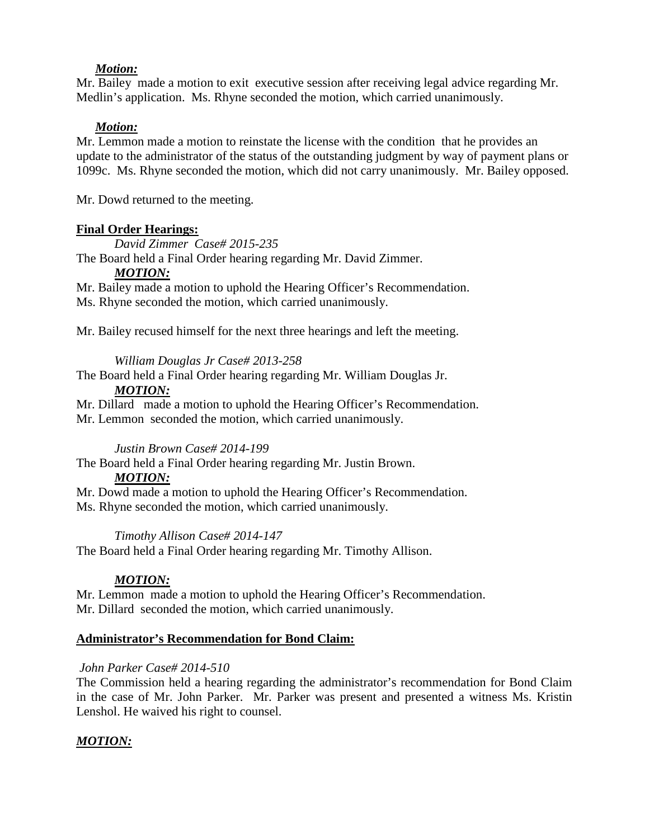Mr. Bailey made a motion to exit executive session after receiving legal advice regarding Mr. Medlin's application. Ms. Rhyne seconded the motion, which carried unanimously.

## *Motion:*

Mr. Lemmon made a motion to reinstate the license with the condition that he provides an update to the administrator of the status of the outstanding judgment by way of payment plans or 1099c. Ms. Rhyne seconded the motion, which did not carry unanimously. Mr. Bailey opposed.

Mr. Dowd returned to the meeting.

## **Final Order Hearings:**

*David Zimmer Case# 2015-235*

The Board held a Final Order hearing regarding Mr. David Zimmer.

## *MOTION:*

Mr. Bailey made a motion to uphold the Hearing Officer's Recommendation.

Ms. Rhyne seconded the motion, which carried unanimously.

Mr. Bailey recused himself for the next three hearings and left the meeting.

## *William Douglas Jr Case# 2013-258*

The Board held a Final Order hearing regarding Mr. William Douglas Jr.

## *MOTION:*

Mr. Dillard made a motion to uphold the Hearing Officer's Recommendation.

Mr. Lemmon seconded the motion, which carried unanimously.

# *Justin Brown Case# 2014-199*

The Board held a Final Order hearing regarding Mr. Justin Brown.

### *MOTION:*

Mr. Dowd made a motion to uphold the Hearing Officer's Recommendation. Ms. Rhyne seconded the motion, which carried unanimously.

### *Timothy Allison Case# 2014-147*

The Board held a Final Order hearing regarding Mr. Timothy Allison.

# *MOTION:*

Mr. Lemmon made a motion to uphold the Hearing Officer's Recommendation. Mr. Dillard seconded the motion, which carried unanimously.

# **Administrator's Recommendation for Bond Claim:**

# *John Parker Case# 2014-510*

The Commission held a hearing regarding the administrator's recommendation for Bond Claim in the case of Mr. John Parker. Mr. Parker was present and presented a witness Ms. Kristin Lenshol. He waived his right to counsel.

# *MOTION:*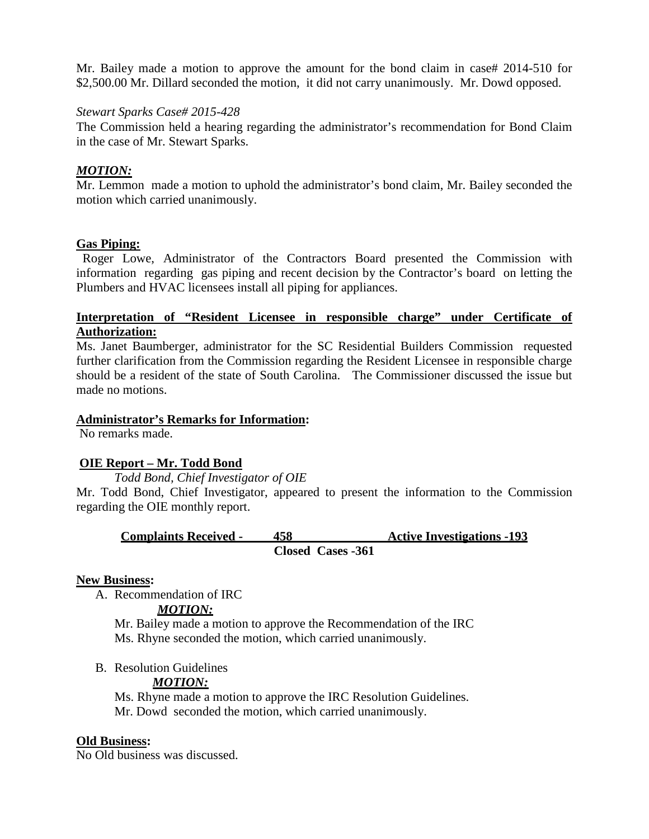Mr. Bailey made a motion to approve the amount for the bond claim in case# 2014-510 for \$2,500.00 Mr. Dillard seconded the motion, it did not carry unanimously. Mr. Dowd opposed.

#### *Stewart Sparks Case# 2015-428*

The Commission held a hearing regarding the administrator's recommendation for Bond Claim in the case of Mr. Stewart Sparks.

### *MOTION:*

Mr. Lemmon made a motion to uphold the administrator's bond claim, Mr. Bailey seconded the motion which carried unanimously.

### **Gas Piping:**

Roger Lowe, Administrator of the Contractors Board presented the Commission with information regarding gas piping and recent decision by the Contractor's board on letting the Plumbers and HVAC licensees install all piping for appliances.

### **Interpretation of "Resident Licensee in responsible charge" under Certificate of Authorization:**

Ms. Janet Baumberger, administrator for the SC Residential Builders Commission requested further clarification from the Commission regarding the Resident Licensee in responsible charge should be a resident of the state of South Carolina. The Commissioner discussed the issue but made no motions.

#### **Administrator's Remarks for Information:**

No remarks made.

### **OIE Report – Mr. Todd Bond**

### *Todd Bond, Chief Investigator of OIE*

Mr. Todd Bond, Chief Investigator, appeared to present the information to the Commission regarding the OIE monthly report.

# **Complaints Received - 458 Active Investigations -193 Closed Cases -361**

### **New Business:**

A. Recommendation of IRC

#### *MOTION:*

Mr. Bailey made a motion to approve the Recommendation of the IRC Ms. Rhyne seconded the motion, which carried unanimously.

B. Resolution Guidelines

### *MOTION:*

Ms. Rhyne made a motion to approve the IRC Resolution Guidelines. Mr. Dowd seconded the motion, which carried unanimously.

# **Old Business:**

No Old business was discussed.